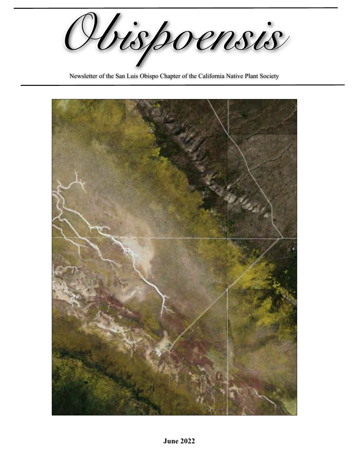*Obispoensis Obispoensis*

Newsletter of the San Luis Obispo Chapter of the California Native Plant Society

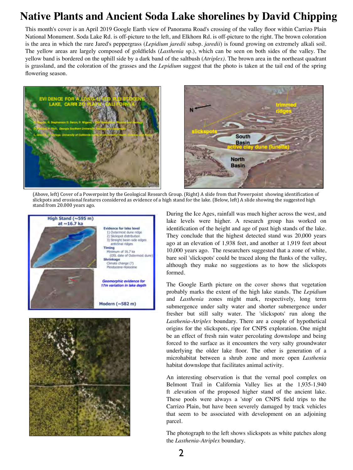# **Native Plants and Ancient Soda Lake shorelines by David Chipping**

This month's cover is an April 2019 Google Earth view of Panorama Road's crossing of the valley floor within Carrizo Plain National Monument. Soda Lake Rd. is off-picture to the left, and Elkhorn Rd. is off-picture to the right. The brown coloration is the area in which the rare Jared's peppergrass (*Lepidium jaredii* subsp. *jaredii*) is found growing on extremely alkali soil. The yellow areas are largely composed of goldfields (*Lasthenia* sp.), which can be seen on both sides of the valley. The yellow band is bordered on the uphill side by a dark band of the saltbush (*Atriplex)*. The brown area in the northeast quadrant is grassland, and the coloration of the grasses and the *Lepidium* suggest that the photo is taken at the tail end of the spring flowering season.





(Above, left) Cover of a Powerpoint by the Geological Research Group. (Right) A slide from that Powerpoint showing identification of slickpots and erosional features considered as evidence of a high stand for the lake. (Below, left) A slide showing the suggested high stand from 20.000 years ago.





During the Ice Ages, rainfall was much higher across the west, and lake levels were higher. A research group has worked on identification of the height and age of past high stands of the lake. They conclude that the highest detected stand was 20,000 years ago at an elevation of 1,938 feet, and another at 1,919 feet about 10,000 years ago. The researchers suggested that a zone of white, bare soil 'slickspots' could be traced along the flanks of the valley, although they make no suggestions as to how the slickspots formed.

The Google Earth picture on the cover shows that vegetation probably marks the extent of the high lake stands. The *Lepidium* and *Lasthenia* zones might mark, respectively, long term submergence under salty water and shorter submergence under fresher but still salty water. The 'slickspots' run along the *Lasthenia*-*Atriplex* boundary. There are a couple of hypothetical origins for the slickspots, ripe for CNPS exploration. One might be an effect of fresh rain water percolating downslope and being forced to the surface as it encounters the very salty groundwater underlying the older lake floor. The other is generation of a microhabitat between a shrub zone and more open *Lasthenia* habitat downslope that facilitates animal activity.

An interesting observation is that the vernal pool complex on Belmont Trail in California Valley lies at the 1,935-1,940 ft .elevation of the proposed higher stand of the ancient lake. These pools were always a 'stop' on CNPS field trips to the Carrizo Plain, but have been severely damaged by track vehicles that seem to be associated with development on an adjoining parcel.

The photograph to the left shows slickspots as white patches along the *Lasthenia-Atriplex* boundary.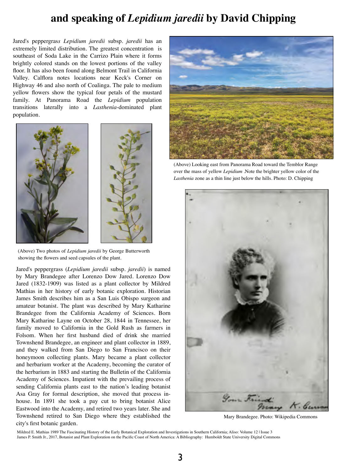# **and speaking of** *Lepidium jaredii* **by David Chipping**

Jared's peppergras*s Lepidium jaredii* subsp. *jaredii* has an extremely limited distribution. The greatest concentration is southeast of Soda Lake in the Carrizo Plain where it forms brightly colored stands on the lowest portions of the valley floor. It has also been found along Belmont Trail in California Valley. Calflora notes locations near Keck's Corner on Highway 46 and also north of Coalinga. The pale to medium yellow flowers show the typical four petals of the mustard family. At Panorama Road the *Lepidium* population transitions laterally into a *Lasthenia*-dominated plant population.



(Above) Two photos of *Lepidium jaredii* by George Butterworth showing the flowers and seed capsules of the plant.

Jared's peppergrass (*Lepidium jaredii* subsp. *jaredii*) is named by Mary Brandegee after Lorenzo Dow Jared. Lorenzo Dow Jared (1832-1909) was listed as a plant collector by Mildred Mathias in her history of early botanic exploration. Historian James Smith describes him as a San Luis Obispo surgeon and amateur botanist. The plant was described by Mary Katharine Brandegee from the California Academy of Sciences. Born Mary Katharine Layne on October 28, 1844 in Tennessee, her family moved to California in the Gold Rush as farmers in Folsom. When her first husband died of drink she married Townshend Brandegee, an engineer and plant collector in 1889, and they walked from San Diego to San Francisco on their honeymoon collecting plants. Mary became a plant collector and herbarium worker at the Academy, becoming the curator of the herbarium in 1883 and starting the Bulletin of the California Academy of Sciences. Impatient with the prevailing process of sending California plants east to the nation's leading botanist Asa Gray for formal description, she moved that process inhouse. In 1891 she took a pay cut to bring botanist Alice Eastwood into the Academy, and retired two years later. She and Townshend retired to San Diego where they established the city's first botanic garden.



(Above) Looking east from Panorama Road toward the Temblor Range over the mass of yellow *Lepidium* .Note the brighter yellow color of the *Lasthenia* zone as a thin line just below the hills. Photo: D. Chipping



Mary Brandegee. Photo: Wikipedia Commons

Mildred E. Mathias 1989 The Fascinating History of the Early Botanical Exploration and Investigations in Southern California; Aliso: Volume 12 | Issue 3 James P. Smith Jr., 2017, Botanist and Plant Exploration on the Pacific Coast of North America: A Bibliography: Humboldt State University Digital Commons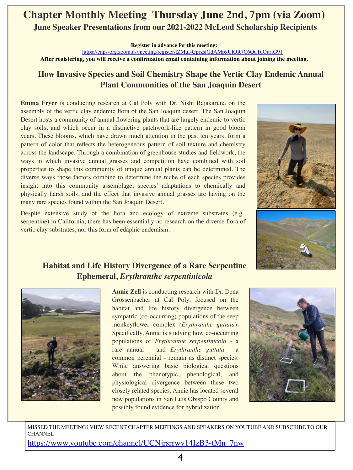# **Chapter Monthly Meeting Thursday June 2nd, 7pm (via Zoom) June Speaker Presentations from our 2021-2022 McLeod Scholarship Recipients**

**Register in advance for this meeting:**

<https://cnps-org.zoom.us/meeting/register/tZMuf-GprzsiGdAMpxUlQR7C6QuTuQurfG91>

**After registering, you will receive a confirmation email containing information about joining the meeting.** 

### **How Invasive Species and Soil Chemistry Shape the Vertic Clay Endemic Annual Plant Communities of the San Joaquin Desert**

**Emma Fryer** is conducting research at Cal Poly with Dr. Nishi Rajakaruna on the assembly of the vertic clay endemic flora of the San Joaquin desert. The San Joaquin Desert hosts a community of annual flowering plants that are largely endemic to vertic clay soils, and which occur in a distinctive patchwork-like pattern in good bloom years. These blooms, which have drawn much attention in the past ten years, form a pattern of color that reflects the heterogeneous pattern of soil texture and chemistry across the landscape. Through a combination of greenhouse studies and fieldwork, the ways in which invasive annual grasses and competition have combined with soil properties to shape this community of unique annual plants can be determined. The diverse ways those factors combine to determine the niche of each species provides insight into this community assemblage, species' adaptations to chemically and physically harsh soils, and the effect that invasive annual grasses are having on the many rare species found within the San Joaquin Desert.

Despite extensive study of the flora and ecology of extreme substrates (e.g., serpentine) in California, there has been essentially no research on the diverse flora of vertic clay substrates, nor this form of edaphic endemism.



### **Habitat and Life History Divergence of a Rare Serpentine Ephemeral,** *Erythranthe serpentinicola*



**Annie Zell** is conducting research with Dr. Dena Grossenbacher at Cal Poly, focused on the habitat and life history divergence between sympatric (co-occurring) populations of the seep monkeyflower complex *(Erythranthe guttata*). Specifically, Annie is studying how co-occurring populations of *Erythranthe serpentinicola* - a rare annual – and *Erythranthe guttata* - a common perennial - remain as distinct species. While answering basic biological questions about the phenotypic, phenological, and physiological divergence between these two closely related species, Annie has located several new populations in San Luis Obispo County and possibly found evidence for hybridization.



MISSED THE MEETING? VIEW RECENT CHAPTER MEETINGS AND SPEAKERS ON YOUTUBE AND SUBSCRIBE TO OUR **CHANNEL** [https://www.youtube.com/channel/UCNjrsrrwy14IzB3-tMn\\_7nw](https://www.youtube.com/channel/UCNjrsrrwy14IzB3-tMn_7nw)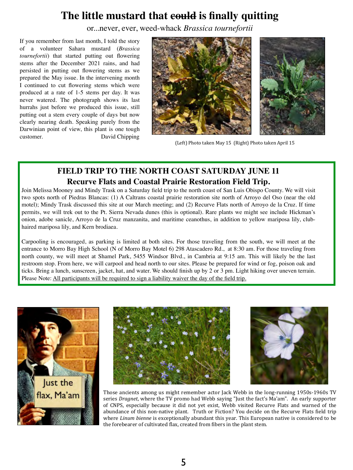# **The little mustard that could is finally quitting**

or...never, ever, weed-whack *Brassica tournefortii*

If you remember from last month, I told the story of a volunteer Sahara mustard (*Brassica tournefortii*) that started putting out flowering stems after the December 2021 rains, and had persisted in putting out flowering stems as we prepared the May issue. In the intervening month I continued to cut flowering stems which were produced at a rate of 1-5 stems per day. It was never watered. The photograph shows its last hurrahs just before we produced this issue, still putting out a stem every couple of days but now clearly nearing death. Speaking purely from the Darwinian point of view, this plant is one tough customer. David Chipping



(Left) Photo taken May 15 (Right) Photo taken April 15

### **FIELD TRIP TO THE NORTH COAST SATURDAY JUNE 11 Recurve Flats and Coastal Prairie Restoration Field Trip.**

Join Melissa Mooney and Mindy Trask on a Saturday field trip to the north coast of San Luis Obispo County. We will visit two spots north of Piedras Blancas: (1) A Caltrans coastal prairie restoration site north of Arroyo del Oso (near the old motel); Mindy Trask discussed this site at our March meeting; and (2) Recurve Flats north of Arroyo de la Cruz. If time permits, we will trek out to the Pt. Sierra Nevada dunes (this is optional). Rare plants we might see include Hickman's onion, adobe sanicle, Arroyo de la Cruz manzanita, and maritime ceanothus, in addition to yellow mariposa lily, clubhaired mariposa lily, and Kern brodiaea.

Carpooling is encouraged, as parking is limited at both sites. For those traveling from the south, we will meet at the entrance to Morro Bay High School (N of Morro Bay Motel 6) 298 Atascadero Rd., at 8:30 am. For those traveling from north county, we will meet at Shamel Park, 5455 Windsor Blvd., in Cambria at 9:15 am. This will likely be the last restroom stop. From here, we will carpool and head north to our sites. Please be prepared for wind or fog, poison oak and ticks. Bring a lunch, sunscreen, jacket, hat, and water. We should finish up by 2 or 3 pm. Light hiking over uneven terrain. Please Note: All participants will be required to sign a liability waiver the day of the field trip.







2<br>2021 Those ancients among us might remember actor Jack Webb in the long-running 1950s-1960s TV series *Dragnet*, where the TV promo had Webb saying "Just the fact's Ma'am". An early supporter of CNPS, especially because it did not yet exist, Webb visited Recurve Flats and warned of the abundance of this non-native plant. Truth or Fiction? You decide on the Recurve Flats field trip where *Linum bienne* is exceptionally abundant this year. This European native is considered to be the forebearer of cultivated flax, created from fibers in the plant stem.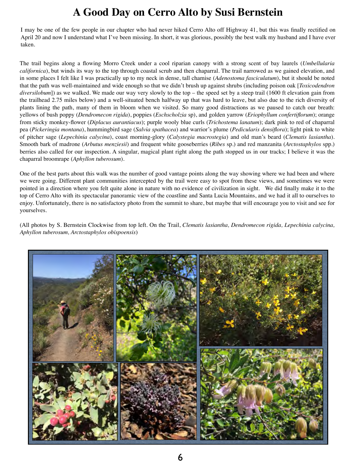# **A Good Day on Cerro Alto by Susi Bernstein**

I may be one of the few people in our chapter who had never hiked Cerro Alto off Highway 41, but this was finally rectified on April 20 and now I understand what I've been missing. In short, it was glorious, possibly the best walk my husband and I have ever taken.

The trail begins along a flowing Morro Creek under a cool riparian canopy with a strong scent of bay laurels (*Umbellularia californica*), but winds its way to the top through coastal scrub and then chaparral. The trail narrowed as we gained elevation, and in some places I felt like I was practically up to my neck in dense, tall chamise (*Adenostoma fasciculatum*), but it should be noted that the path was well-maintained and wide enough so that we didn't brush up against shrubs (including poison oak [*Toxicodendron diversilobum*]) as we walked. We made our way very slowly to the top – the speed set by a steep trail (1600 ft elevation gain from the trailhead 2.75 miles below) and a well-situated bench halfway up that was hard to leave, but also due to the rich diversity of plants lining the path, many of them in bloom when we visited. So many good distractions as we paused to catch our breath: yellows of bush poppy (*Dendromecon rigida*), poppies (*Eschscholzia* sp), and golden yarrow (*Eriophyllum confertiflorum*); orange from sticky monkey-flower (*Diplacus aurantiacus*); purple wooly blue curls (*Trichostema lanatum*); dark pink to red of chaparral pea (*Pickeringia montana*), hummingbird sage (*Salvia spathacea*) and warrior's plume (*Pedicularis densiflora*); light pink to white of pitcher sage (*Lepechinia calycina*), coast morning-glory (*Calystegia macrostegia*) and old man's beard (*Clematis lasiantha*). Smooth bark of madrone (*Arbutus menziesii*) and frequent white gooseberries (*Ribes* sp.) and red manzanita (*Arctostaphylos* spp.) berries also called for our inspection. A singular, magical plant right along the path stopped us in our tracks; I believe it was the chaparral broomrape (*Aphyllon tuberosum*).

One of the best parts about this walk was the number of good vantage points along the way showing where we had been and where we were going. Different plant communities intercepted by the trail were easy to spot from these views, and sometimes we were pointed in a direction where you felt quite alone in nature with no evidence of civilization in sight. We did finally make it to the top of Cerro Alto with its spectacular panoramic view of the coastline and Santa Lucia Mountains, and we had it all to ourselves to enjoy. Unfortunately, there is no satisfactory photo from the summit to share, but maybe that will encourage you to visit and see for yourselves.

(All photos by S. Bernstein Clockwise from top left. On the Trail, *Clematis lasiantha, Dendromecon rigida, Lepechinia calycina, Aphyllon tuberosum, Arctostaphylos obispoensis*)

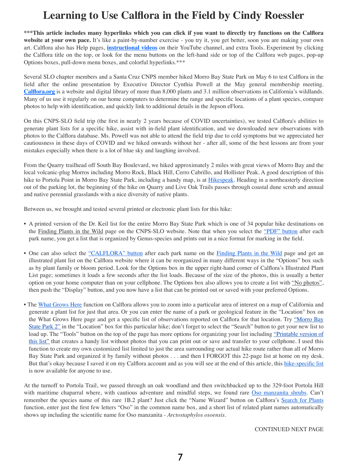# **Learning to Use Calflora in the Field by Cindy Roessler**

**\*\*\*This article includes many hyperlinks which you can click if you want to directly try functions on the Calflora**  website at your own pace. It's like a paint-by-number exercise - you try it, you get better, soon you are making your own art. Calflora also has Help pages, **[instructional videos](https://www.youtube.com/channel/UCXYIkTmcrJi2J0zf4_F3dNg)** on their YouTube channel, and extra Tools. Experiment by clicking the Calflora title on the top, or look for the menu buttons on the left-hand side or top of the Calflora web pages, pop-up Options boxes, pull-down menu boxes, and colorful hyperlinks.\*\*\*

Several SLO chapter members and a Santa Cruz CNPS member hiked Morro Bay State Park on May 6 to test Calflora in the field after the online presentation by Executive Director Cynthia Powell at the May general membership meeting. **[Calflora.org](http://calflor)** is a website and digital library of more than 8,000 plants and 3.1 million observations in California's wildlands. Many of us use it regularly on our home computers to determine the range and specific locations of a plant species, compare photos to help with identification, and quickly link to additional details in the Jepson eFlora.

On this CNPS-SLO field trip (the first in nearly 2 years because of COVID uncertainties), we tested Calflora's abilities to generate plant lists for a specific hike, assist with in-field plant identification, and we downloaded new observations with photos to the Calflora database. Ms. Powell was not able to attend the field trip due to cold symptoms but we appreciated her cautiousness in these days of COVID and we hiked onwards without her - after all, some of the best lessons are from your mistakes especially when there is a lot of blue sky and laughing involved.

From the Quarry trailhead off South Bay Boulevard, we hiked approximately 2 miles with great views of Morro Bay and the local volcanic-plug Morros including Morro Rock, Black Hill, Cerro Cabrillo, and Hollister Peak. A good description of this hike to Portola Point in Morro Bay State Park, including a handy map, is at [Hikespeak.](https://www.hikespeak.com/trails/portola-point-morro-bay/) Heading in a northeasterly direction out of the parking lot, the beginning of the hike on Quarry and Live Oak Trails passes through coastal dune scrub and annual and native perennial grasslands with a nice diversity of native plants.

Between us, we brought and tested several printed or electronic plant lists for this hike:

- A printed version of the Dr. Keil list for the entire Morro Bay State Park which is one of 34 popular hike destinations on the [Finding Plants in the Wild](https://cnpsslo.org/resources/finding-plants-in-the-wild/) page on the CNPS-SLO website. Note that when you select the ["PDF" button](https://cnpsslo.org/wp-content/uploads/2019/07/Morro-Bay-State-Park-checklist-07Jun19.pdf) after each park name, you get a list that is organized by Genus-species and prints out in a nice format for marking in the field.
- One can also select the ["CALFLORA" button](https://www.calflora.org/app/ipl?vrid=svy3360&bloom=t&family=t) after each park name on the [Finding Plants in the Wild](https://cnpsslo.org/resources/finding-plants-in-the-wild/) page and get an illustrated plant list on the Calflora website where it can be reorganized in many different ways in the "Options" box such as by plant family or bloom period. Look for the Options box in the upper right-hand corner of Calflora's Illustrated Plant List page; sometimes it loads a few seconds after the list loads. Because of the size of the photos, this is usually a better option on your home computer than on your cellphone. The Options box also allows you to create a list with ["No photos",](https://www.calflora.org/app/ipl?vrid=svy3360&family=t&fmt=simple) then push the "Display" button, and you now have a list that can be printed out or saved with your preferred Options.
- The [What Grows Here](https://www.calflora.org/entry/wgh.html) function on Calflora allows you to zoom into a particular area of interest on a map of California and generate a plant list for just that area. Or you can enter the name of a park or geological feature in the "Location" box on the What Grows Here page and get a specific list of observations reported on Calflora for that location. Try ["Morro Bay](https://www.calflora.org/entry/wgh.html#srch=t&nplace=Morro+Bay+State+Park+2&fmt=photo&inma=t&y=35.3413&x=-120.8112&z=14) [State Park 2"](https://www.calflora.org/entry/wgh.html#srch=t&nplace=Morro+Bay+State+Park+2&fmt=photo&inma=t&y=35.3413&x=-120.8112&z=14) in the "Location" box for this particular hike; don't forget to select the "Search" button to get your new list to load up. The "Tools" button on the top of the page has more options for organizing your list including ["Printable version of](https://www.calflora.org/app/ipl?) [this list"](https://www.calflora.org/app/ipl?) that creates a handy list without photos that you can print out or save and transfer to your cellphone. I used this function to create my own customized list limited to just the area surrounding our actual hike route rather than all of Morro Bay State Park and organized it by family without photos . . . and then I FORGOT this 22-page list at home on my desk. But that's okay because I saved it on my Calflora account and as you will see at the end of this article, this hike-specific list is now available for anyone to use.

At the turnoff to Portola Trail, we passed through an oak woodland and then switchbacked up to the 329-foot Portola Hill with maritime chaparral where, with cautious adventure and mindful steps, we found rare [Oso manzanita shrubs.](https://www.calflora.org/entry/occdetail.html?seq_num=mu23028&taxon=Arctostaphylos+osoensis) Can't remember the species name of this rare 1B.2 plant? Just click the "Name Wizard" button on Calflora's [Search for Plants](https://www.calflora.org/search.html) function, enter just the first few letters "Oso" in the common name box, and a short list of related plant names automatically shows up including the scientific name for Oso manzanita - *Arctostaphylos osoensis*.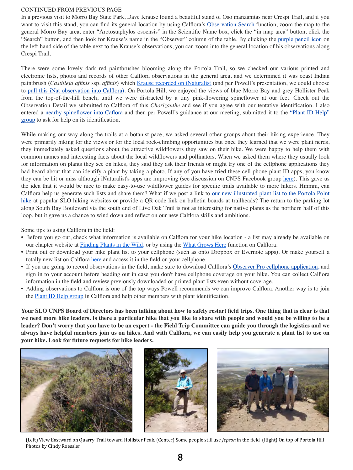#### CONTINUED FROM PREVIOUS PAGE

In a previous visit to Morro Bay State Park, Dave Krause found a beautiful stand of Oso manzanitas near Crespi Trail, and if you want to visit this stand, you can find its general location by using Calflora's [Observation Search](https://www.calflora.org/entry/observ.html) function, zoom the map to the general Morro Bay area, enter "Arctostaphylos osoensis" in the Scientific Name box, click the "in map area" button, click the "Search" button, and then look for Krause's name in the "Observer" column of the table. By clicking the purple pencil icon on the left-hand side of the table next to the Krause's observations, you can zoom into the general location of his observations along Crespi Trail.

There were some lovely dark red paintbrushes blooming along the Portola Trail, so we checked our various printed and electronic lists, photos and records of other Calflora observations in the general area, and we determined it was coast Indian paintbrush (*Castilleja affinis* ssp. *affinis*) which [Krause recorded on iNaturalist](https://www.inaturalist.org/observations/116288094) (and per Powell's presentation, we could choose to [pull this iNat observation into Calflora\)](https://www.calflora.org/entry/addinat.html). On Portola Hill, we enjoyed the views of blue Morro Bay and grey Hollister Peak from the top-of-the-hill bench, until we were distracted by a tiny pink-flowering spineflower at our feet. Check out the Observation Detail we submitted to Calflora of this *Chorizanthe* and see if you agree with our tentative identification. I also entered a nearby spineflower into Caflora and then per Powell's guidance at our meeting, submitted it to the ["Plant ID Help"](https://www.calflora.org/entry/plantID.html) [group](https://www.calflora.org/entry/plantID.html) to ask for help on its identification.

While making our way along the trails at a botanist pace, we asked several other groups about their hiking experience. They were primarily hiking for the views or for the local rock-climbing opportunities but once they learned that we were plant nerds, they immediately asked questions about the attractive wildflowers they saw on their hike. We were happy to help them with common names and interesting facts about the local wildflowers and pollinators. When we asked them where they usually look for information on plants they see on hikes, they said they ask their friends or might try one of the cellphone applications they had heard about that can identify a plant by taking a photo. If any of you have tried these cell phone plant ID apps, you know they can be hit or miss although iNaturalist's apps are improving (see discussion on CNPS Facebook group [here\)](https://www.facebook.com/groups/38417209275/permalink/10159802660834276/). This gave us the idea that it would be nice to make easy-to-use wildflower guides for specific trails available to more hikers. Hmmm, can Calflora help us generate such lists and share them? What if we post a link to [our new illustrated plant list to the Portola Point](https://www.calflora.org/a) [hike](https://www.calflora.org/a) at popular SLO hiking websites or provide a QR code link on bulletin boards at trailheads? The return to the parking lot along South Bay Boulevard via the south end of Live Oak Trail is not as interesting for native plants as the northern half of this loop, but it gave us a chance to wind down and reflect on our new Calflora skills and ambitions.

Some tips to using Calflora in the field:

- Before you go out, check what information is available on Calflora for your hike location a list may already be available on our chapter website at [Finding Plants in the Wild,](https://cnpsslo.org/resources/finding-plants-in-the-wild/) or by using the [What Grows Here](https://www.calflora.org/entry/wgh.html) function on Calflora.
- Print out or download your hike plant list to your cellphone (such as onto Dropbox or Evernote apps). Or make yourself a totally new list on Calflora [here](https://www.calflora.org/entry/plantlist.html) and access it in the field on your cellphone.
- If you are going to record observations in the field, make sure to download Calflora's Observer Pro cellphone application, and sign in to your account before heading out in case you don't have cellphone coverage on your hike. You can collect Calflora information in the field and review previously downloaded or printed plant lists even without coverage.
- Adding observations to Calflora is one of the top ways Powell recommends we can improve Calflora. Another way is to join the [Plant ID Help group](https://www.calflora.org/entry/plantID.html) in Calflora and help other members with plant identification.

**Your SLO CNPS Board of Directors has been talking about how to safely restart field trips. One thing that is clear is that we need more hike leaders. Is there a particular hike that you like to share with people and would you be willing to be a leader? Don't worry that you have to be an expert - the Field Trip Committee can guide you through the logistics and we always have helpful members join us on hikes. And with Calflora, we can easily help you generate a plant list to use on your hike. Look for future requests for hike leaders.**



(Left) View Eastward on Quarry Trail toward Hollister Peak. (Center) Some people still use *Jepson* in the field (Right) On top of Portola Hill Photos by Cindy Roessler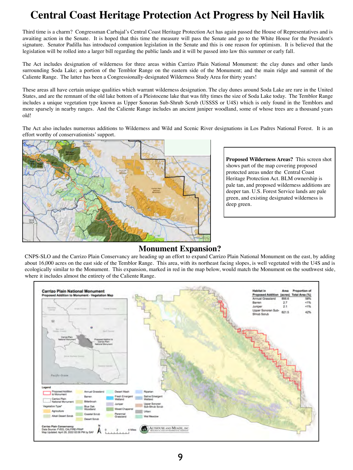# **Central Coast Heritage Protection Act Progress by Neil Havlik**

Third time is a charm? Congressman Carbajal's Central Coast Heritage Protection Act has again passed the House of Representatives and is awaiting action in the Senate. It is hoped that this time the measure will pass the Senate and go to the White House for the President's signature. Senator Padilla has introduced companion legislation in the Senate and this is one reason for optimism. It is believed that the legislation will be rolled into a larger bill regarding the public lands and it will be passed into law this summer or early fall.

The Act includes designation of wilderness for three areas within Carrizo Plain National Monument: the clay dunes and other lands surrounding Soda Lake; a portion of the Temblor Range on the eastern side of the Monument; and the main ridge and summit of the Caliente Range. The latter has been a Congressionally-designated Wilderness Study Area for thirty years!

These areas all have certain unique qualities which warrant wilderness designation. The clay dunes around Soda Lake are rare in the United States, and are the remnant of the old lake bottom of a Pleistocene lake that was fifty times the size of Soda Lake today. The Temblor Range includes a unique vegetation type known as Upper Sonoran Sub-Shrub Scrub (USSSS or U4S) which is only found in the Temblors and more sparsely in nearby ranges. And the Caliente Range includes an ancient juniper woodland, some of whose trees are a thousand years old!

The Act also includes numerous additions to Wilderness and Wild and Scenic River designations in Los Padres National Forest. It is an effort worthy of conservationists' support.



**Proposed Wilderness Areas?** This screen shot shows part of the map covering proposed protected areas under the Central Coast Heritage Protection Act. BLM ownership is pale tan, and proposed wilderness additions are deeper tan. U.S. Forest Service lands are pale green, and existing designated wilderness is deep green.

**Monument Expansion?**<br>CNPS-SLO and the Carrizo Plain Conservancy are heading up an effort to expand Carrizo Plain National Monument on the east, by adding about 16,000 acres on the east side of the Temblor Range. This area, with its northeast facing slopes, is well vegetated with the U4S and is ecologically similar to the Monument. This expansion, marked in red in the map below, would match the Monument on the southwest side, where it includes almost the entirety of the Caliente Range.

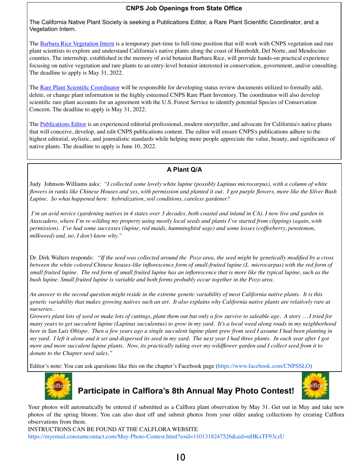### **CNPS Job Openings from State Office**

The California Native Plant Society is seeking a Publications Editor, a Rare Plant Scientific Coordinator, and a Vegetation Intern.

The [Barbara Rice Vegetation Intern](https://cnps.pinpointhq.com/en/jobs/48084) is a temporary part-time to full-time position that will work with CNPS vegetation and rare plant scientists to explore and understand California's native plants along the coast of Humboldt, Del Norte, and Mendocino counties. The internship, established in the memory of avid botanist Barbara Rice, will provide hands-on practical experience focusing on native vegetation and rare plants to an entry-level botanist interested in conservation, government, and/or consulting. The deadline to apply is May 31, 2022.

The [Rare Plant Scientific Coordinator](https://cnps.pinpointhq.com/en/jobs/48067) will be responsible for developing status review documents utilized to formally add, delete, or change plant information in the highly esteemed CNPS Rare Plant Inventory. The coordinator will also develop scientific rare plant accounts for an agreement with the U.S. Forest Service to identify potential Species of Conservation Concern. The deadline to apply is May 31, 2022.

The [Publications Editor](https://cnps.pinpointhq.com/en/jobs/45733) is an experienced editorial professional, modern storyteller, and advocate for California's native plants that will conceive, develop, and edit CNPS publications content. The editor will ensure CNPS's publications adhere to the highest editorial, stylistic, and journalistic standards while helping more people appreciate the value, beauty, and significance of native plants. The deadline to apply is June 10, 2022.

### **A Plant Q/A**

Judy Johnson-Williams asks: *"I collected some lovely white lupine (possibly Lupinus microcarpus), with a column of white flowers in ranks like Chinese Houses and yes, with permission and planted it out. I got purple flowers, more like the Silver Bush Lupine. So what happened here: hybridization, soil conditions, careless gardener?*

 *I'm an avid novice (gardening natives in 4 states over 3 decades, both coastal and inland in CA). I now live and garden in Atascadero, where I'm re-wilding my property using mostly local seeds and plants I've started from clippings (again, with permission). I've had some successes (lupine, red maids, hummingbird sage) and some losses (coffeeberry, penstemon, milkweed) and, no, I don't know why."*

Dr. Dirk Walters responds: "*If the seed was collected around the Pozo area, the seed might be genetically modified by a cross between the white colored Chinese houses-like inflorescence form of small-fruited lupine (L microcarpus) with the red form of small fruited lupine. The red form of small fruited lupine has an inflorescence that is more like the typical lupine, such as the bush lupine. Small fruited lupine is variable and both forms probably occur together in the Pozo area.*

*An answer to the second question might reside in the extreme genetic variability of most California native plants. It is this genetic variability that makes growing natives such an art. It also explains why California native plants are relatively rare at nurseries.*

*Growers plant lots of seed or make lots of cuttings, plant them out but only a few survive to saleable age. A story … I tried for many years to get succulent lupine (Lupinus succulentus) to grow in my yard. It's a local weed along roads in my neighborhood here in San Luis Obispo. Then a few years ago a single succulent lupine plant grew from seed I assume I had been planting in my yard. I left it alone and it set and dispersed its seed in my yard. The next year I had three plants. In each year after I got more and more succulent lupine plants. Now, its practically taking over my wildflower garden and I collect seed from it to donate to the Chapter seed sales."*

Editor's note: You can ask questions like this on the chapter's Facebook page [\(https://www.facebook.com/CNPSSLO\)](https://www.facebook.com/CNPSSLO)



2/2021 8/2021 May 1 Hoto Contool: 2021 **Participate in Calflora's 8th Annual May Photo Contest!**



Your photos will automatically be entered if submitted as a Calflora plant observation by May 31. Get out in May and take new photos of the spring bloom. You can also dust off and submit photos from your older analog collections by creating Calflora observations from them.

INSTRUCTIONS CAN BE FOUND AT THE CALFLORA WEBSITE <https://myemail.constantcontact.com/May-Photo-Contest.html?soid=1101318247526&aid=nHKxTF93czU>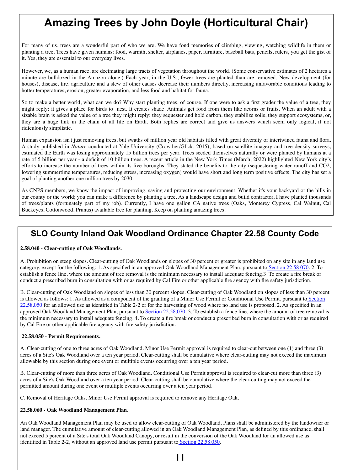# **Amazing Trees by John Doyle (Horticultural Chair)**

For many of us, trees are a wonderful part of who we are. We have fond memories of climbing, viewing, watching wildlife in them or planting a tree. Trees have given humans: food, warmth, shelter, airplanes, paper, furniture, baseball bats, pencils, rulers, you get the gist of it. Yes, they are essential to our everyday lives.

However, we, as a human race, are decimating large tracts of vegetation throughout the world. (Some conservative estimates of 2 hectares a minute are bulldozed in the Amazon alone.) Each year, in the U.S., fewer trees are planted than are removed. New development (for houses), disease, fire, agriculture and a slew of other causes decrease their numbers directly, increasing unfavorable conditions leading to hotter temperatures, erosion, greater evaporation, and less food and habitat for fauna.

So to make a better world, what can we do? Why start planting trees, of course. If one were to ask a first grader the value of a tree, they might reply: it gives a place for birds to nest. It creates shade. Animals get food from them like acorns or fruits. When an adult with a sizable brain is asked the value of a tree they might reply: they sequester and hold carbon, they stabilize soils, they support ecosystems, or, they are a huge link in the chain of all life on Earth. Both replies are correct and give us answers which seem only logical, if not ridiculously simplistic.

Human expansion isn't just removing trees, but swaths of million year old habitats filled with great diversity of intertwined fauna and flora. A study published in *Nature* conducted at Yale University (Crowther/Glick, 2015), based on satellite imagery and tree density surveys, estimated the Earth was losing approximately 15 billion trees per year. Trees seeded themselves naturally or were planted by humans at a rate of 5 billion per year - a deficit of 10 billion trees. A recent article in the New York Times (March, 2022) highlighted New York city's efforts to increase the number of trees within its five boroughs. They stated the benefits to the city (sequestering water runoff and CO2, lowering summertime temperatures, reducing stress, increasing oxygen) would have short and long term positive effects. The city has set a goal of planting another one million trees by 2030.

As CNPS members, we know the impact of improving, saving and protecting our environment. Whether it's your backyard or the hills in our county or the world; you can make a difference by planting a tree. As a landscape design and build contractor, I have planted thousands of trees/plants (fortunately part of my job). Currently, I have one gallon CA native trees (Oaks, Monterey Cypress, Cal Walnut, Cal Buckeyes, Cottonwood, Prunus) available free for planting. Keep on planting amazing trees!

### **SLO County Inland Oak Woodland Ordinance Chapter 22.58 County Code**

#### **2.58.040 - Clear-cutting of Oak Woodlands**.

A. Prohibition on steep slopes. Clear-cutting of Oak Woodlands on slopes of 30 percent or greater is prohibited on any site in any land use category, except for the following: 1. As specified in an approved Oak Woodland Management Plan, pursuant t[o Section 22.58.070.](https://library.municode.com/ca/san_luis_obispo_county/codes/county_code?nodeId=TIT22LAUSOR_ART5SIDEST_CH22.58OAWOOR_22.58.070VIEN) 2. To establish a fence line, where the amount of tree removal is the minimum necessary to install adequate fencing.3. To create a fire break or conduct a prescribed burn in consultation with or as required by Cal Fire or other applicable fire agency with fire safety jurisdiction.

B. Clear-cutting of Oak Woodland on slopes of less than 30 percent slopes. Clear-cutting of Oak Woodland on slopes of less than 30 percent is allowed as follows: 1. As allowed as a component of the granting of a Minor Use Permit or Conditional Use Permit, pursuant to Section [22.58.050](https://library.municode.com/ca/san_luis_obispo_county/codes/county_code?nodeId=TIT22LAUSOR_ART5SIDEST_CH22.58OAWOOR_22.58.050PERE) for an allowed use as identified in Table 2-2 or for the harvesting of wood where no land use is proposed. 2. As specified in an approved Oak Woodland Management Plan, pursuant t[o Section 22.58.070.](https://library.municode.com/ca/san_luis_obispo_county/codes/county_code?nodeId=TIT22LAUSOR_ART5SIDEST_CH22.58OAWOOR_22.58.070VIEN) 3. To establish a fence line, where the amount of tree removal is the minimum necessary to install adequate fencing. 4. To create a fire break or conduct a prescribed burn in consultation with or as required by Cal Fire or other applicable fire agency with fire safety jurisdiction.

#### **22.58.050 - Permit Requirements.**

A. Clear-cutting of one to three acres of Oak Woodland. Minor Use Permit approval is required to clear-cut between one (1) and three (3) acres of a Site's Oak Woodland over a ten year period. Clear-cutting shall be cumulative where clear-cutting may not exceed the maximum allowable by this section during one event or multiple events occurring over a ten year period.

B. Clear-cutting of more than three acres of Oak Woodland. Conditional Use Permit approval is required to clear-cut more than three (3) acres of a Site's Oak Woodland over a ten year period. Clear-cutting shall be cumulative where the clear-cutting may not exceed the permitted amount during one event or multiple events occurring over a ten year period.

C. Removal of Heritage Oaks. Minor Use Permit approval is required to remove any Heritage Oak.

#### **22.58.060 - Oak Woodland Management Plan.**

An Oak Woodland Management Plan may be used to allow clear-cutting of Oak Woodland. Plans shall be administered by the landowner or land manager. The cumulative amount of clear-cutting allowed in an Oak Woodland Management Plan, as defined by this ordinance, shall not exceed 5 percent of a Site's total Oak Woodland Canopy, or result in the conversion of the Oak Woodland for an allowed use as identified in Table 2-2, without an approved land use permit pursuant t[o Section 22.58.050.](https://library.municode.com/ca/san_luis_obispo_county/codes/county_code?nodeId=TIT22LAUSOR_ART5SIDEST_CH22.58OAWOOR_22.58.050PERE)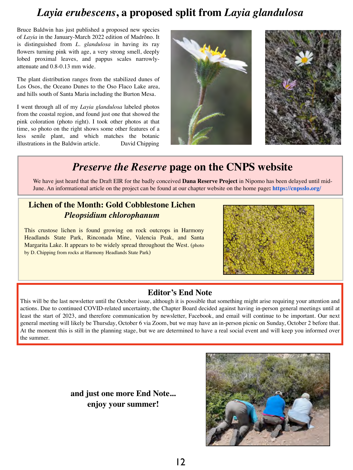# *Layia erubescens***, a proposed split from** *Layia glandulosa*

Bruce Baldwin has just published a proposed new species of *Layia* in the January-March 2022 edition of Madrõno. It is distinguished from *L. glandulosa* in having its ray flowers turning pink with age, a very strong smell, deeply lobed proximal leaves, and pappus scales narrowlyattenuate and 0.8-0.13 mm wide.

The plant distribution ranges from the stabilized dunes of Los Osos, the Oceano Dunes to the Oso Flaco Lake area, and hills south of Santa Maria including the Burton Mesa.

I went through all of my *Layia glandulosa* labeled photos from the coastal region, and found just one that showed the pink coloration (photo right). I took other photos at that time, so photo on the right shows some other features of a less senile plant, and which matches the botanic illustrations in the Baldwin article. David Chipping



# *Preserve the Reserve* **page on the CNPS website**

We have just heard that the Draft EIR for the badly conceived **Dana Reserve Project** in Nipomo has been delayed until mid-June. An informational article on the project can be found at our chapter website on the home page**: [https://cnpsslo.org/](https://cnpsslo.org)**

### **Lichen of the Month: Gold Cobblestone Lichen**  *Pleopsidium chlorophanum*

This crustose lichen is found growing on rock outcrops in Harmony Headlands State Park, Rinconada Mine, Valencia Peak, and Santa Margarita Lake. It appears to be widely spread throughout the West. (photo by D. Chipping from rocks at Harmony Headlands State Park)



### **Editor's End Note**

This will be the last newsletter until the October issue, although it is possible that something might arise requiring your attention and actions. Due to continued COVID-related uncertainty, the Chapter Board decided against having in-person general meetings until at least the start of 2023, and therefore communication by newsletter, Facebook, and email will continue to be important. Our next general meeting will likely be Thursday, October 6 via Zoom, but we may have an in-person picnic on Sunday, October 2 before that. At the moment this is still in the planning stage, but we are determined to have a real social event and will keep you informed over the summer.

> **and just one more End Note... enjoy your summer!**